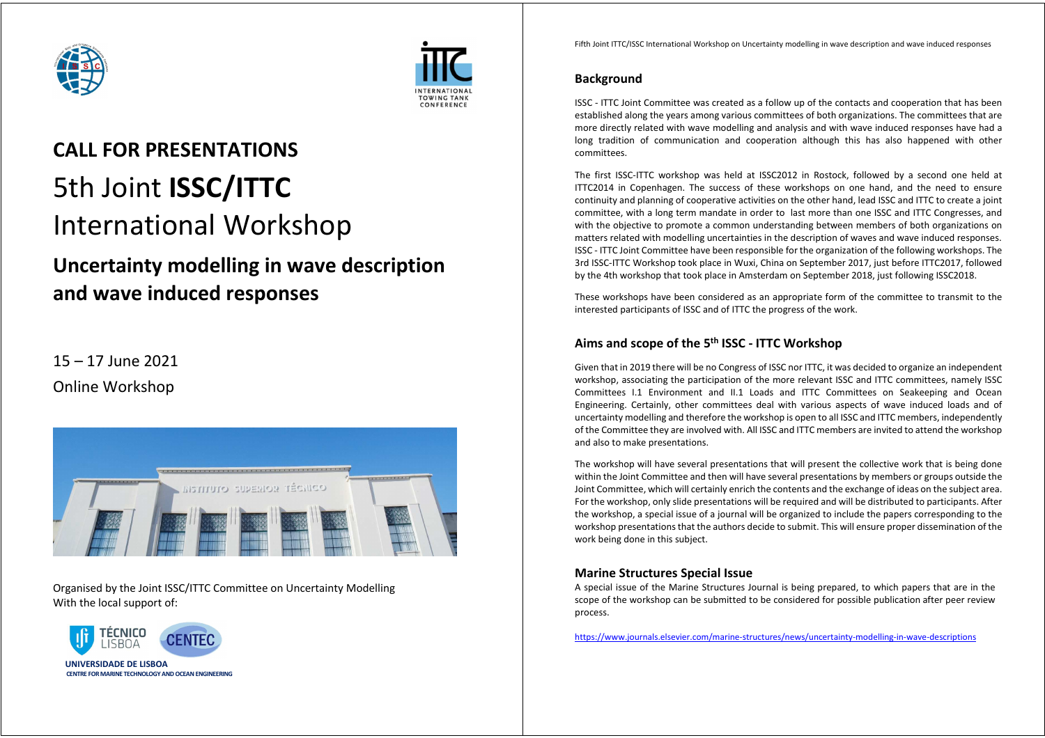



# **CALL FOR PRESENTATIONS**  5th Joint **ISSC/ITTC** International Workshop

## **Uncertainty modelling in wave description and wave induced responses**

### 15 – 17 June 2021 Online Workshop



Organised by the Joint ISSC/ITTC Committee on Uncertainty Modelling With the local support of:



Fifth Joint ITTC/ISSC International Workshop on Uncertainty modelling in wave description and wave induced responses

#### **Background**

ISSC - ITTC Joint Committee was created as a follow up of the contacts and cooperation that has been established along the years among various committees of both organizations. The committees that are more directly related with wave modelling and analysis and with wave induced responses have had a long tradition of communication and cooperation although this has also happened with other committees.

The first ISSC-ITTC workshop was held at ISSC2012 in Rostock, followed by a second one held at ITTC2014 in Copenhagen. The success of these workshops on one hand, and the need to ensure continuity and planning of cooperative activities on the other hand, lead ISSC and ITTC to create a joint committee, with a long term mandate in order to last more than one ISSC and ITTC Congresses, and with the objective to promote a common understanding between members of both organizations on matters related with modelling uncertainties in the description of waves and wave induced responses. ISSC - ITTC Joint Committee have been responsible for the organization of the following workshops. The 3rd ISSC-ITTC Workshop took place in Wuxi, China on September 2017, just before ITTC2017, followed by the 4th workshop that took place in Amsterdam on September 2018, just following ISSC2018.

These workshops have been considered as an appropriate form of the committee to transmit to the interested participants of ISSC and of ITTC the progress of the work.

#### **Aims and scope of the 5th ISSC - ITTC Workshop**

Given that in 2019 there will be no Congress of ISSC nor ITTC, it was decided to organize an independent workshop, associating the participation of the more relevant ISSC and ITTC committees, namely ISSC Committees I.1 Environment and II.1 Loads and ITTC Committees on Seakeeping and Ocean Engineering. Certainly, other committees deal with various aspects of wave induced loads and of uncertainty modelling and therefore the workshop is open to all ISSC and ITTC members, independently of the Committee they are involved with. All ISSC and ITTC members are invited to attend the workshop and also to make presentations.

The workshop will have several presentations that will present the collective work that is being done within the Joint Committee and then will have several presentations by members or groups outside the Joint Committee, which will certainly enrich the contents and the exchange of ideas on the subject area. For the workshop, only slide presentations will be required and will be distributed to participants. After the workshop, a special issue of a journal will be organized to include the papers corresponding to the workshop presentations that the authors decide to submit. This will ensure proper dissemination of the work being done in this subject.

#### **Marine Structures Special Issue**

A special issue of the Marine Structures Journal is being prepared, to which papers that are in the scope of the workshop can be submitted to be considered for possible publication after peer review process.

https://www.journals.elsevier.com/marine-structures/news/uncertainty-modelling-in-wave-descriptions